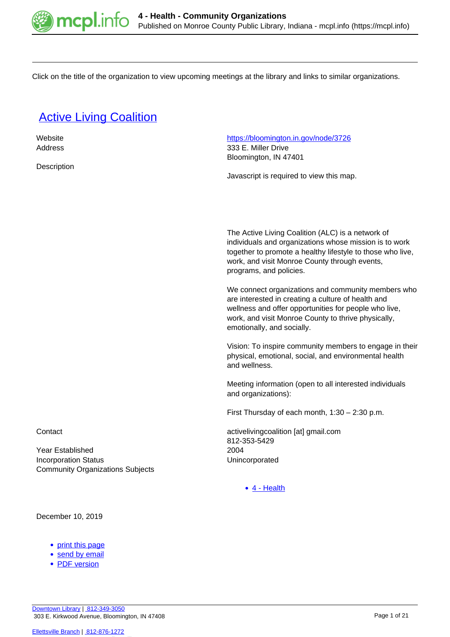

Click on the title of the organization to view upcoming meetings at the library and links to similar organizations.

## **[Active Living Coalition](https://mcpl.info/commorg/active-living-coalition)**

| Website                                 | https://bloomington.in.gov/node/3726                       |
|-----------------------------------------|------------------------------------------------------------|
| Address                                 | 333 E. Miller Drive                                        |
|                                         | Bloomington, IN 47401                                      |
| Description                             |                                                            |
|                                         | Javascript is required to view this map.                   |
|                                         |                                                            |
|                                         |                                                            |
|                                         |                                                            |
|                                         |                                                            |
|                                         |                                                            |
|                                         | The Active Living Coalition (ALC) is a network of          |
|                                         | individuals and organizations whose mission is to work     |
|                                         | together to promote a healthy lifestyle to those who live, |
|                                         | work, and visit Monroe County through events,              |
|                                         | programs, and policies.                                    |
|                                         |                                                            |
|                                         | We connect organizations and community members who         |
|                                         | are interested in creating a culture of health and         |
|                                         | wellness and offer opportunities for people who live,      |
|                                         | work, and visit Monroe County to thrive physically,        |
|                                         | emotionally, and socially.                                 |
|                                         |                                                            |
|                                         | Vision: To inspire community members to engage in their    |
|                                         | physical, emotional, social, and environmental health      |
|                                         | and wellness.                                              |
|                                         |                                                            |
|                                         | Meeting information (open to all interested individuals    |
|                                         | and organizations):                                        |
|                                         |                                                            |
|                                         | First Thursday of each month, $1:30 - 2:30$ p.m.           |
| Contact                                 | activelivingcoalition [at] gmail.com                       |
|                                         | 812-353-5429                                               |
| Year Established                        | 2004                                                       |
| <b>Incorporation Status</b>             | Unincorporated                                             |
| <b>Community Organizations Subjects</b> |                                                            |
|                                         |                                                            |
|                                         | $\bullet$ 4 - Health                                       |
|                                         |                                                            |

December 10, 2019

- [print this page](https://mcpl.info/print/commorg/active-living-coalition)
- [send by email](https://mcpl.info/printmail/commorg/active-living-coalition)
- [PDF version](https://mcpl.info/printpdf/commorg/active-living-coalition)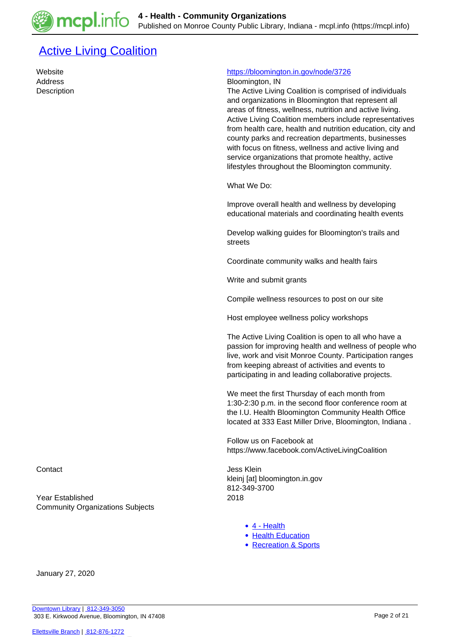## **[Active Living Coalition](https://mcpl.info/commorg/active-living-coalition-0)**

#### Website <https://bloomington.in.gov/node/3726>

Address **Bloomington, IN** 

Description The Active Living Coalition is comprised of individuals and organizations in Bloomington that represent all areas of fitness, wellness, nutrition and active living. Active Living Coalition members include representatives from health care, health and nutrition education, city and county parks and recreation departments, businesses with focus on fitness, wellness and active living and service organizations that promote healthy, active lifestyles throughout the Bloomington community.

What We Do:

Improve overall health and wellness by developing educational materials and coordinating health events

Develop walking guides for Bloomington's trails and streets

Coordinate community walks and health fairs

Write and submit grants

Compile wellness resources to post on our site

Host employee wellness policy workshops

The Active Living Coalition is open to all who have a passion for improving health and wellness of people who live, work and visit Monroe County. Participation ranges from keeping abreast of activities and events to participating in and leading collaborative projects.

We meet the first Thursday of each month from 1:30-2:30 p.m. in the second floor conference room at the I.U. Health Bloomington Community Health Office located at 333 East Miller Drive, Bloomington, Indiana .

Follow us on Facebook at https://www.facebook.com/ActiveLivingCoalition

Contact **Jess Klein** kleinj [at] bloomington.in.gov 812-349-3700

- [4 Health](https://mcpl.info/taxonomy/term/24949)
- [Health Education](https://mcpl.info/taxonomy/term/25077)
- [Recreation & Sports](https://mcpl.info/community-organization-subjects/recreation-sports)

Year Established 2018 Community Organizations Subjects

January 27, 2020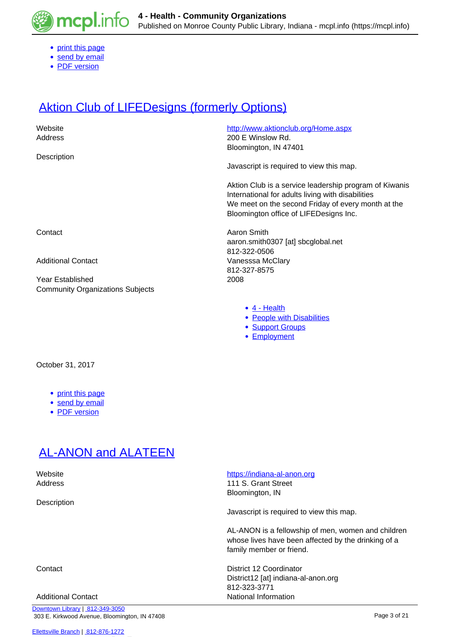

- [print this page](https://mcpl.info/print/commorg/active-living-coalition-0)
- [send by email](https://mcpl.info/printmail/commorg/active-living-coalition-0)
- [PDF version](https://mcpl.info/printpdf/commorg/active-living-coalition-0)

## **[Aktion Club of LIFEDesigns \(formerly Options\)](https://mcpl.info/commorg/aktion-club-lifedesigns-formerly-options)**

| Website<br>Address                                          | http://www.aktionclub.org/Home.aspx<br>200 E Winslow Rd.<br>Bloomington, IN 47401                                                                                                                           |
|-------------------------------------------------------------|-------------------------------------------------------------------------------------------------------------------------------------------------------------------------------------------------------------|
| Description                                                 | Javascript is required to view this map.                                                                                                                                                                    |
|                                                             | Aktion Club is a service leadership program of Kiwanis<br>International for adults living with disabilities<br>We meet on the second Friday of every month at the<br>Bloomington office of LIFEDesigns Inc. |
| Contact                                                     | Aaron Smith<br>aaron.smith0307 [at] sbcglobal.net<br>812-322-0506                                                                                                                                           |
| <b>Additional Contact</b>                                   | Vanesssa McClary<br>812-327-8575                                                                                                                                                                            |
| Year Established<br><b>Community Organizations Subjects</b> | 2008                                                                                                                                                                                                        |
|                                                             | $\bullet$ 4 - Health<br>• People with Disabilities<br>• Support Groups<br>• Employment                                                                                                                      |
| October 31, 2017                                            |                                                                                                                                                                                                             |

- [print this page](https://mcpl.info/print/commorg/aktion-club-lifedesigns-formerly-options)
- [send by email](https://mcpl.info/printmail/commorg/aktion-club-lifedesigns-formerly-options)
- [PDF version](https://mcpl.info/printpdf/commorg/aktion-club-lifedesigns-formerly-options)

### [AL-ANON and ALATEEN](https://mcpl.info/commorg/al-anon-and-alateen)

Description

[Downtown Library](https://mcpl.info/geninfo/downtown-library) | [812-349-3050](tel:812-349-3050) 303 E. Kirkwood Avenue, Bloomington, IN 47408

#### [Ellettsville Branch](https://mcpl.info/ellettsville/ellettsville-branch) | [812-876-1272](tel:812-876-1272)

#### Website **<https://indiana-al-anon.org>**

Address 111 S. Grant Street Bloomington, IN

Javascript is required to view this map.

AL-ANON is a fellowship of men, women and children whose lives have been affected by the drinking of a family member or friend.

Contact District 12 Coordinator District12 [at] indiana-al-anon.org 812-323-3771 Additional Contact **National Information**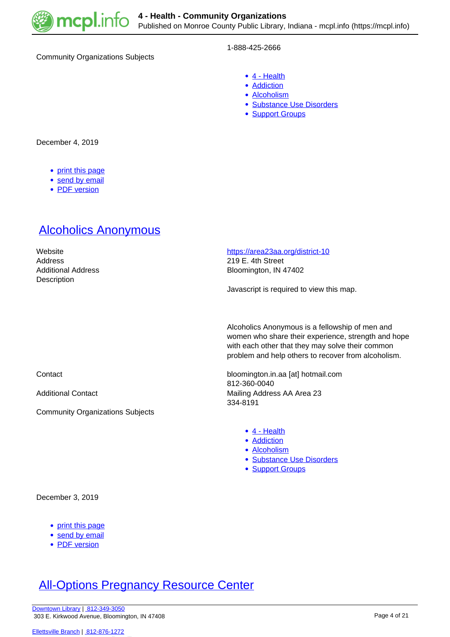

Community Organizations Subjects

#### 1-888-425-2666

- [4 Health](https://mcpl.info/taxonomy/term/24949)
- **[Addiction](https://mcpl.info/taxonomy/term/25066)**
- [Alcoholism](https://mcpl.info/category/community-organization-subjects/4-health/alcoholism)
- [Substance Use Disorders](https://mcpl.info/taxonomy/term/25092)
- **[Support Groups](https://mcpl.info/community-organization-subjects/support-groups)**

December 4, 2019

- [print this page](https://mcpl.info/print/commorg/al-anon-and-alateen)
- [send by email](https://mcpl.info/printmail/commorg/al-anon-and-alateen)
- [PDF version](https://mcpl.info/printpdf/commorg/al-anon-and-alateen)

#### [Alcoholics Anonymous](https://mcpl.info/commorg/alcoholics-anonymous)

| Website            |
|--------------------|
| Address            |
| Additional Address |
| Description        |

<https://area23aa.org/district-10> 219 E. 4th Street

Bloomington, IN 47402

Javascript is required to view this map.

Alcoholics Anonymous is a fellowship of men and women who share their experience, strength and hope with each other that they may solve their common problem and help others to recover from alcoholism.

Contact bloomington.in.aa [at] hotmail.com 812-360-0040 Additional Contact **Mailing Address AA Area 23** 334-8191

- [4 Health](https://mcpl.info/taxonomy/term/24949)
- **[Addiction](https://mcpl.info/taxonomy/term/25066)**
- [Alcoholism](https://mcpl.info/category/community-organization-subjects/4-health/alcoholism)
- [Substance Use Disorders](https://mcpl.info/taxonomy/term/25092)
- [Support Groups](https://mcpl.info/community-organization-subjects/support-groups)

Community Organizations Subjects

December 3, 2019

- [print this page](https://mcpl.info/print/commorg/alcoholics-anonymous)
- [send by email](https://mcpl.info/printmail/commorg/alcoholics-anonymous)
- [PDF version](https://mcpl.info/printpdf/commorg/alcoholics-anonymous)

# **[All-Options Pregnancy Resource Center](https://mcpl.info/commorg/all-options-pregnancy-resource-center)**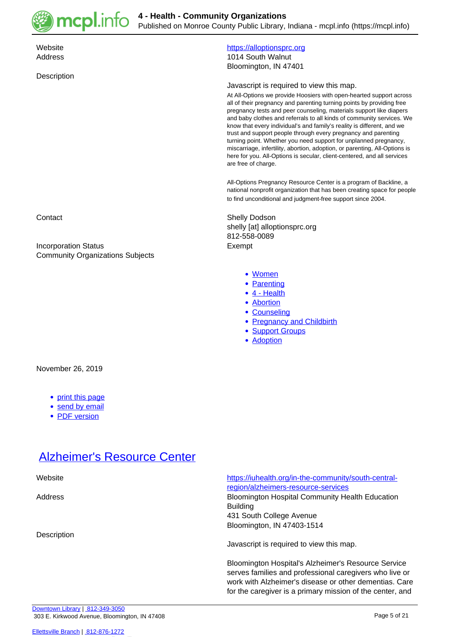

**4 - Health - Community Organizations** Published on Monroe County Public Library, Indiana - mcpl.info (https://mcpl.info)

**Description** 

#### Website **<https://alloptionsprc.org>** Address 1014 South Walnut Bloomington, IN 47401

#### Javascript is required to view this map.

At All-Options we provide Hoosiers with open-hearted support across all of their pregnancy and parenting turning points by providing free pregnancy tests and peer counseling, materials support like diapers and baby clothes and referrals to all kinds of community services. We know that every individual's and family's reality is different, and we trust and support people through every pregnancy and parenting turning point. Whether you need support for unplanned pregnancy, miscarriage, infertility, abortion, adoption, or parenting, All-Options is here for you. All-Options is secular, client-centered, and all services are free of charge.

All-Options Pregnancy Resource Center is a program of Backline, a national nonprofit organization that has been creating space for people to find unconditional and judgment-free support since 2004.

Contact **Shelly Dodson** shelly [at] alloptionsprc.org 812-558-0089

- [Women](https://mcpl.info/community-organization-subjects/women)
- [Parenting](https://mcpl.info/taxonomy/term/24974)
- [4 Health](https://mcpl.info/taxonomy/term/24949)
- [Abortion](https://mcpl.info/taxonomy/term/25065)
- Counselina
- [Pregnancy and Childbirth](https://mcpl.info/taxonomy/term/25088)
- [Support Groups](https://mcpl.info/community-organization-subjects/support-groups)
- **[Adoption](https://mcpl.info/taxonomy/term/25095)**

Incorporation Status **Exempt** Community Organizations Subjects

#### November 26, 2019

- [print this page](https://mcpl.info/print/commorg/all-options-pregnancy-resource-center)
- [send by email](https://mcpl.info/printmail/commorg/all-options-pregnancy-resource-center)
- [PDF version](https://mcpl.info/printpdf/commorg/all-options-pregnancy-resource-center)

#### [Alzheimer's Resource Center](https://mcpl.info/commorg/alzheimers-resource-center)

| Website     | https://iuhealth.org/in-the-community/south-central-<br>region/alzheimers-resource-services                                                                                     |
|-------------|---------------------------------------------------------------------------------------------------------------------------------------------------------------------------------|
| Address     | <b>Bloomington Hospital Community Health Education</b><br><b>Building</b>                                                                                                       |
|             | 431 South College Avenue                                                                                                                                                        |
|             | Bloomington, IN 47403-1514                                                                                                                                                      |
| Description | Javascript is required to view this map.                                                                                                                                        |
|             | <b>Bloomington Hospital's Alzheimer's Resource Service</b><br>serves families and professional caregivers who live or<br>work with Alzheimer's disease or other dementias. Care |

for the caregiver is a primary mission of the center, and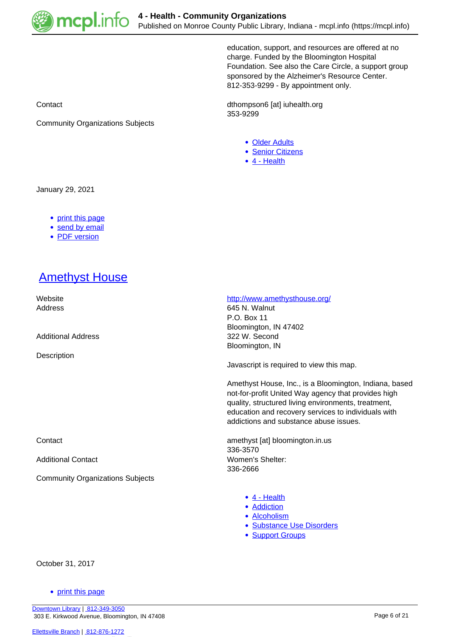

education, support, and resources are offered at no charge. Funded by the Bloomington Hospital Foundation. See also the Care Circle, a support group sponsored by the Alzheimer's Resource Center. 812-353-9299 - By appointment only.

Contact Contact Contact Contact Contact Contact Contact Contact Contact Contact Contact Contact Contact Contact Contact Contact Contact Contact Contact Contact Contact Contact Contact Contact Contact Contact Contact Contac 353-9299

- [Older Adults](https://mcpl.info/community-organization-subjects/older-adults)
- [Senior Citizens](https://mcpl.info/community-organization-subjects/senior-citizens)
- [4 Health](https://mcpl.info/taxonomy/term/24949)

January 29, 2021

• [print this page](https://mcpl.info/print/commorg/alzheimers-resource-center)

Community Organizations Subjects

- [send by email](https://mcpl.info/printmail/commorg/alzheimers-resource-center)
- [PDF version](https://mcpl.info/printpdf/commorg/alzheimers-resource-center)

## **[Amethyst House](https://mcpl.info/commorg/amethyst-house)**

| Website                                 | http://www.amethysthouse.org/                                                                                                                                                                                                                                         |
|-----------------------------------------|-----------------------------------------------------------------------------------------------------------------------------------------------------------------------------------------------------------------------------------------------------------------------|
| Address                                 | 645 N. Walnut                                                                                                                                                                                                                                                         |
|                                         | P.O. Box 11                                                                                                                                                                                                                                                           |
|                                         | Bloomington, IN 47402                                                                                                                                                                                                                                                 |
| <b>Additional Address</b>               | 322 W. Second                                                                                                                                                                                                                                                         |
|                                         | Bloomington, IN                                                                                                                                                                                                                                                       |
| Description                             |                                                                                                                                                                                                                                                                       |
|                                         | Javascript is required to view this map.                                                                                                                                                                                                                              |
|                                         | Amethyst House, Inc., is a Bloomington, Indiana, based<br>not-for-profit United Way agency that provides high<br>quality, structured living environments, treatment,<br>education and recovery services to individuals with<br>addictions and substance abuse issues. |
| Contact                                 | amethyst [at] bloomington.in.us                                                                                                                                                                                                                                       |
|                                         | 336-3570                                                                                                                                                                                                                                                              |
| <b>Additional Contact</b>               | Women's Shelter:                                                                                                                                                                                                                                                      |
|                                         | 336-2666                                                                                                                                                                                                                                                              |
| <b>Community Organizations Subjects</b> |                                                                                                                                                                                                                                                                       |
|                                         | $\bullet$ 4 - Health                                                                                                                                                                                                                                                  |
|                                         | • Addiction                                                                                                                                                                                                                                                           |
|                                         |                                                                                                                                                                                                                                                                       |
|                                         | • Alcoholism                                                                                                                                                                                                                                                          |
|                                         | • Substance Use Disorders                                                                                                                                                                                                                                             |
|                                         |                                                                                                                                                                                                                                                                       |

• **[Support Groups](https://mcpl.info/community-organization-subjects/support-groups)** 

October 31, 2017

• [print this page](https://mcpl.info/print/commorg/amethyst-house)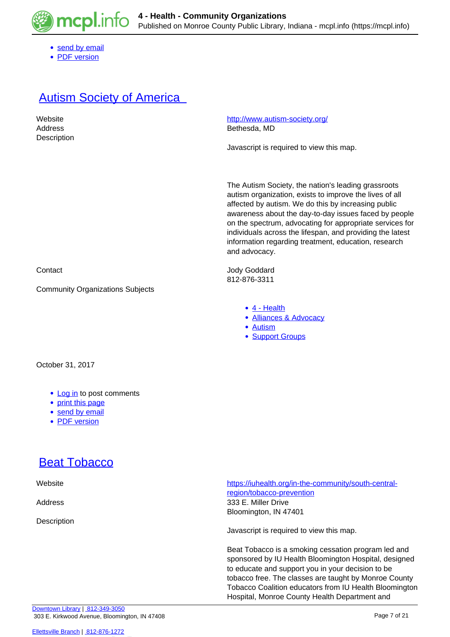

- [send by email](https://mcpl.info/printmail/commorg/amethyst-house)
- [PDF version](https://mcpl.info/printpdf/commorg/amethyst-house)

#### **Autism Society of America**

| Website     | http://www.autism-society.org/           |
|-------------|------------------------------------------|
| Address     | Bethesda, MD                             |
| Description |                                          |
|             | Javascript is required to view this map. |
|             |                                          |
|             |                                          |
|             |                                          |

The Autism Society, the nation's leading grassroots autism organization, exists to improve the lives of all affected by autism. We do this by increasing public awareness about the day-to-day issues faced by people on the spectrum, advocating for appropriate services for individuals across the lifespan, and providing the latest information regarding treatment, education, research and advocacy.

Contact Jody Goddard 812-876-3311

- [4 Health](https://mcpl.info/taxonomy/term/24949)
- [Alliances & Advocacy](https://mcpl.info/community-organization-subjects/alliances-advocacy)

Hospital, Monroe County Health Department and

- [Autism](https://mcpl.info/taxonomy/term/25069)
- [Support Groups](https://mcpl.info/community-organization-subjects/support-groups)

Community Organizations Subjects

October 31, 2017

- [Log in](https://mcpl.info/user/login?destination=node/77725%23comment-form) to post comments
- [print this page](https://mcpl.info/print/commorg/autism-society-america-south-central-indiana-chapter)
- [send by email](https://mcpl.info/printmail/commorg/autism-society-america-south-central-indiana-chapter)
- [PDF version](https://mcpl.info/printpdf/commorg/autism-society-america-south-central-indiana-chapter)

### **[Beat Tobacco](https://mcpl.info/commorg/beat-tobacco)**

| Website     | https://iuhealth.org/in-the-community/south-central-<br>region/tobacco-prevention                                                                                                                                                                                                    |
|-------------|--------------------------------------------------------------------------------------------------------------------------------------------------------------------------------------------------------------------------------------------------------------------------------------|
| Address     | 333 E. Miller Drive                                                                                                                                                                                                                                                                  |
| Description | Bloomington, IN 47401                                                                                                                                                                                                                                                                |
|             | Javascript is required to view this map.                                                                                                                                                                                                                                             |
|             | Beat Tobacco is a smoking cessation program led and<br>sponsored by IU Health Bloomington Hospital, designed<br>to educate and support you in your decision to be<br>tobacco free. The classes are taught by Monroe County<br>Tobacco Coalition educators from IU Health Bloomington |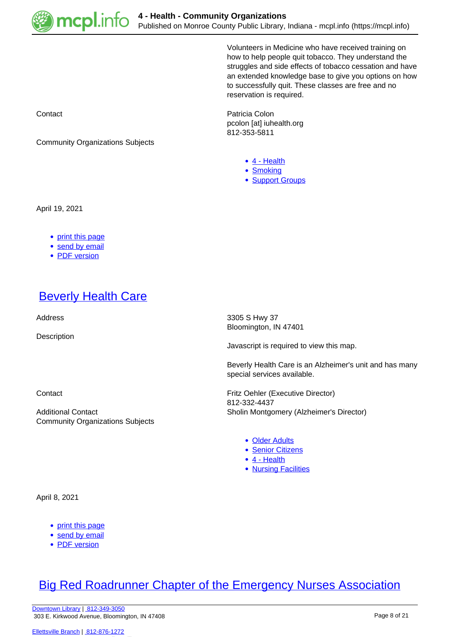

Volunteers in Medicine who have received training on how to help people quit tobacco. They understand the struggles and side effects of tobacco cessation and have an extended knowledge base to give you options on how to successfully quit. These classes are free and no reservation is required.

**Contact Patricia Colon** pcolon [at] iuhealth.org 812-353-5811

- [4 Health](https://mcpl.info/taxonomy/term/24949)
- [Smoking](https://mcpl.info/taxonomy/term/25091)
- [Support Groups](https://mcpl.info/community-organization-subjects/support-groups)

Community Organizations Subjects

April 19, 2021

- [print this page](https://mcpl.info/print/commorg/beat-tobacco)
- [send by email](https://mcpl.info/printmail/commorg/beat-tobacco)
- [PDF version](https://mcpl.info/printpdf/commorg/beat-tobacco)

#### **[Beverly Health Care](https://mcpl.info/commorg/beverly-health-care)**

**Description** 

Community Organizations Subjects

Address 3305 S Hwy 37 Bloomington, IN 47401

Javascript is required to view this map.

Beverly Health Care is an Alzheimer's unit and has many special services available.

Contact Fritz Oehler (Executive Director) 812-332-4437 Additional Contact Sholin Montgomery (Alzheimer's Director)

- [Older Adults](https://mcpl.info/community-organization-subjects/older-adults)
- [Senior Citizens](https://mcpl.info/community-organization-subjects/senior-citizens)
- [4 Health](https://mcpl.info/taxonomy/term/24949)
- [Nursing Facilities](https://mcpl.info/taxonomy/term/25086)

April 8, 2021

- [print this page](https://mcpl.info/print/commorg/beverly-health-care)
- [send by email](https://mcpl.info/printmail/commorg/beverly-health-care)
- [PDF version](https://mcpl.info/printpdf/commorg/beverly-health-care)

#### **[Big Red Roadrunner Chapter of the Emergency Nurses Association](https://mcpl.info/commorg/big-red-roadrunner-chapter-emergency-nurses-association)**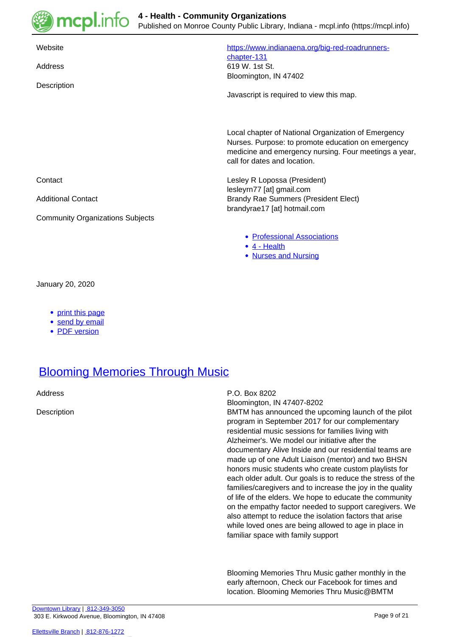

| Website<br>Address<br>Description       | https://www.indianaena.org/big-red-roadrunners-<br>chapter-131<br>619 W. 1st St.<br>Bloomington, IN 47402<br>Javascript is required to view this map.                                              |
|-----------------------------------------|----------------------------------------------------------------------------------------------------------------------------------------------------------------------------------------------------|
|                                         | Local chapter of National Organization of Emergency<br>Nurses. Purpose: to promote education on emergency<br>medicine and emergency nursing. Four meetings a year,<br>call for dates and location. |
| Contact                                 | Lesley R Lopossa (President)<br>lesleyrn77 [at] gmail.com                                                                                                                                          |
| <b>Additional Contact</b>               | <b>Brandy Rae Summers (President Elect)</b><br>brandyrae17 [at] hotmail.com                                                                                                                        |
| <b>Community Organizations Subjects</b> |                                                                                                                                                                                                    |
|                                         | • Professional Associations<br>$\bullet$ 4 - Health<br><b>Nurses and Nursing</b><br>٠                                                                                                              |

January 20, 2020

- [print this page](https://mcpl.info/print/commorg/big-red-roadrunner-chapter-emergency-nurses-association)
- [send by email](https://mcpl.info/printmail/commorg/big-red-roadrunner-chapter-emergency-nurses-association)
- [PDF version](https://mcpl.info/printpdf/commorg/big-red-roadrunner-chapter-emergency-nurses-association)

#### **[Blooming Memories Through Music](https://mcpl.info/commorg/blooming-memories-through-music)**

Address P.O. Box 8202

Bloomington, IN 47407-8202

Description BMTM has announced the upcoming launch of the pilot program in September 2017 for our complementary residential music sessions for families living with Alzheimer's. We model our initiative after the documentary Alive Inside and our residential teams are made up of one Adult Liaison (mentor) and two BHSN honors music students who create custom playlists for each older adult. Our goals is to reduce the stress of the families/caregivers and to increase the joy in the quality of life of the elders. We hope to educate the community on the empathy factor needed to support caregivers. We also attempt to reduce the isolation factors that arise while loved ones are being allowed to age in place in familiar space with family support

> Blooming Memories Thru Music gather monthly in the early afternoon, Check our Facebook for times and location. Blooming Memories Thru Music@BMTM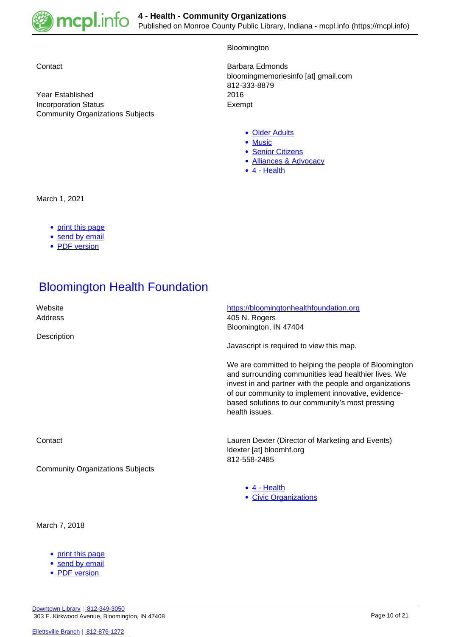

Year Established Incorporation Status **Exempt** Community Organizations Subjects

Bloomington

Contact **Barbara Edmonds** bloomingmemoriesinfo [at] gmail.com 812-333-8879

- [Older Adults](https://mcpl.info/community-organization-subjects/older-adults)
- [Music](https://mcpl.info/taxonomy/term/25029)
- [Senior Citizens](https://mcpl.info/community-organization-subjects/senior-citizens)
- [Alliances & Advocacy](https://mcpl.info/community-organization-subjects/alliances-advocacy)
- [4 Health](https://mcpl.info/taxonomy/term/24949)

March 1, 2021

- [print this page](https://mcpl.info/print/commorg/blooming-memories-through-music)
- [send by email](https://mcpl.info/printmail/commorg/blooming-memories-through-music)
- [PDF version](https://mcpl.info/printpdf/commorg/blooming-memories-through-music)

## **[Bloomington Health Foundation](https://mcpl.info/commorg/iu-health-bloomington-hospital-foundation)**

| Website<br>Address<br>Description                  | https://bloomingtonhealthfoundation.org<br>405 N. Rogers<br>Bloomington, IN 47404<br>Javascript is required to view this map.                                                                                                                                                                         |
|----------------------------------------------------|-------------------------------------------------------------------------------------------------------------------------------------------------------------------------------------------------------------------------------------------------------------------------------------------------------|
|                                                    | We are committed to helping the people of Bloomington<br>and surrounding communities lead healthier lives. We<br>invest in and partner with the people and organizations<br>of our community to implement innovative, evidence-<br>based solutions to our community's most pressing<br>health issues. |
| Contact<br><b>Community Organizations Subjects</b> | Lauren Dexter (Director of Marketing and Events)<br>Idexter [at] bloomhf.org<br>812-558-2485                                                                                                                                                                                                          |
|                                                    | $\bullet$ 4 - Health<br>• Civic Organizations                                                                                                                                                                                                                                                         |

March 7, 2018

- [print this page](https://mcpl.info/print/commorg/iu-health-bloomington-hospital-foundation)
- [send by email](https://mcpl.info/printmail/commorg/iu-health-bloomington-hospital-foundation)
- [PDF version](https://mcpl.info/printpdf/commorg/iu-health-bloomington-hospital-foundation)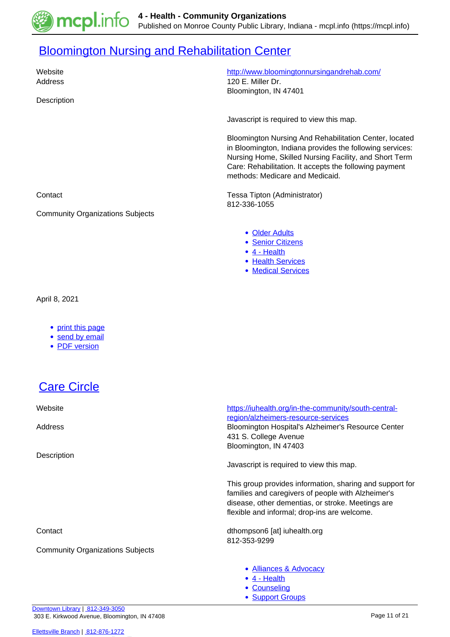

# **[Bloomington Nursing and Rehabilitation Center](https://mcpl.info/commorg/bloomington-nursing-and-rehabilitation-center)**

| Website<br>Address<br>Description                     | http://www.bloomingtonnursingandrehab.com/<br>120 E. Miller Dr.<br>Bloomington, IN 47401                                                                                                                                                                                  |
|-------------------------------------------------------|---------------------------------------------------------------------------------------------------------------------------------------------------------------------------------------------------------------------------------------------------------------------------|
|                                                       | Javascript is required to view this map.                                                                                                                                                                                                                                  |
|                                                       | Bloomington Nursing And Rehabilitation Center, located<br>in Bloomington, Indiana provides the following services:<br>Nursing Home, Skilled Nursing Facility, and Short Term<br>Care: Rehabilitation. It accepts the following payment<br>methods: Medicare and Medicaid. |
| Contact                                               | Tessa Tipton (Administrator)<br>812-336-1055                                                                                                                                                                                                                              |
| <b>Community Organizations Subjects</b>               |                                                                                                                                                                                                                                                                           |
|                                                       | • Older Adults<br>• Senior Citizens<br>$\bullet$ 4 - Health<br>• Health Services<br>• Medical Services                                                                                                                                                                    |
| April 8, 2021                                         |                                                                                                                                                                                                                                                                           |
| • print this page<br>• send by email<br>• PDF version |                                                                                                                                                                                                                                                                           |
| <b>Care Circle</b>                                    |                                                                                                                                                                                                                                                                           |
| Website                                               | https://iuhealth.org/in-the-community/south-central-                                                                                                                                                                                                                      |
| Address                                               | region/alzheimers-resource-services<br>Bloomington Hospital's Alzheimer's Resource Center<br>431 S. College Avenue                                                                                                                                                        |
| Description                                           | Bloomington, IN 47403                                                                                                                                                                                                                                                     |
|                                                       | Javascript is required to view this map.                                                                                                                                                                                                                                  |
|                                                       | This group provides information, sharing and support for<br>families and caregivers of people with Alzheimer's<br>disease, other dementias, or stroke. Meetings are<br>flexible and informal; drop-ins are welcome.                                                       |
| Contact                                               | dthompson6 [at] iuhealth.org<br>812-353-9299                                                                                                                                                                                                                              |
| <b>Community Organizations Subjects</b>               |                                                                                                                                                                                                                                                                           |
|                                                       | • Alliances & Advocacy<br>• 4 - Health<br>• Counseling<br>• Support Groups                                                                                                                                                                                                |

[Downtown Library](https://mcpl.info/geninfo/downtown-library) | [812-349-3050](tel:812-349-3050) 303 E. Kirkwood Avenue, Bloomington, IN 47408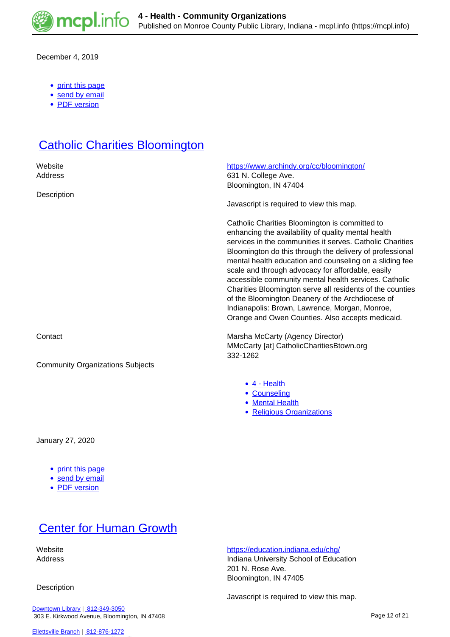

December 4, 2019

- [print this page](https://mcpl.info/print/commorg/care-circle)
- [send by email](https://mcpl.info/printmail/commorg/care-circle)
- [PDF version](https://mcpl.info/printpdf/commorg/care-circle)

## **[Catholic Charities Bloomington](https://mcpl.info/commorg/catholic-charities-bloomington)**

| Website<br>Address                      | https://www.archindy.org/cc/bloomington/<br>631 N. College Ave.<br>Bloomington, IN 47404                                                                                                                                                                                                                                                                                                                                                                                                                                                                                                                                       |
|-----------------------------------------|--------------------------------------------------------------------------------------------------------------------------------------------------------------------------------------------------------------------------------------------------------------------------------------------------------------------------------------------------------------------------------------------------------------------------------------------------------------------------------------------------------------------------------------------------------------------------------------------------------------------------------|
| Description                             | Javascript is required to view this map.                                                                                                                                                                                                                                                                                                                                                                                                                                                                                                                                                                                       |
|                                         | Catholic Charities Bloomington is committed to<br>enhancing the availability of quality mental health<br>services in the communities it serves. Catholic Charities<br>Bloomington do this through the delivery of professional<br>mental health education and counseling on a sliding fee<br>scale and through advocacy for affordable, easily<br>accessible community mental health services. Catholic<br>Charities Bloomington serve all residents of the counties<br>of the Bloomington Deanery of the Archdiocese of<br>Indianapolis: Brown, Lawrence, Morgan, Monroe,<br>Orange and Owen Counties. Also accepts medicaid. |
| Contact                                 | Marsha McCarty (Agency Director)<br>MMcCarty [at] CatholicCharitiesBtown.org<br>332-1262                                                                                                                                                                                                                                                                                                                                                                                                                                                                                                                                       |
| <b>Community Organizations Subjects</b> |                                                                                                                                                                                                                                                                                                                                                                                                                                                                                                                                                                                                                                |
|                                         | $\bullet$ 4 - Health<br>• Counseling<br>• Mental Health<br>• Religious Organizations                                                                                                                                                                                                                                                                                                                                                                                                                                                                                                                                           |

January 27, 2020

- [print this page](https://mcpl.info/print/commorg/catholic-charities-bloomington)
- [send by email](https://mcpl.info/printmail/commorg/catholic-charities-bloomington)
- [PDF version](https://mcpl.info/printpdf/commorg/catholic-charities-bloomington)

## **[Center for Human Growth](https://mcpl.info/commorg/center-human-growth)**

**Description** 

Website **<https://education.indiana.edu/chg/>** 

Address **Indiana University School of Education** 201 N. Rose Ave. Bloomington, IN 47405

Javascript is required to view this map.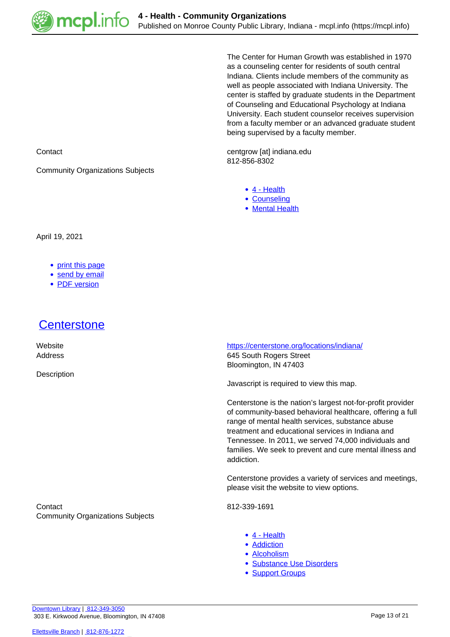

The Center for Human Growth was established in 1970 as a counseling center for residents of south central Indiana. Clients include members of the community as well as people associated with Indiana University. The center is staffed by graduate students in the Department of Counseling and Educational Psychology at Indiana University. Each student counselor receives supervision from a faculty member or an advanced graduate student being supervised by a faculty member.

Contact centgrow [at] indiana.edu 812-856-8302

- [4 Health](https://mcpl.info/taxonomy/term/24949)
- [Counseling](https://mcpl.info/community-organization-subjects/counseling)
- [Mental Health](https://mcpl.info/taxonomy/term/25083)

Community Organizations Subjects

April 19, 2021

- [print this page](https://mcpl.info/print/commorg/center-human-growth)
- [send by email](https://mcpl.info/printmail/commorg/center-human-growth)
- [PDF version](https://mcpl.info/printpdf/commorg/center-human-growth)

#### [Centerstone](https://mcpl.info/commorg/centerstone)

**Description** 

 Website <https://centerstone.org/locations/indiana/> Address 645 South Rogers Street Bloomington, IN 47403

Javascript is required to view this map.

Centerstone is the nation's largest not-for-profit provider of community-based behavioral healthcare, offering a full range of mental health services, substance abuse treatment and educational services in Indiana and Tennessee. In 2011, we served 74,000 individuals and families. We seek to prevent and cure mental illness and addiction.

Centerstone provides a variety of services and meetings, please visit the website to view options.

Contact 812-339-1691

- [4 Health](https://mcpl.info/taxonomy/term/24949)
	- **[Addiction](https://mcpl.info/taxonomy/term/25066)**
	- [Alcoholism](https://mcpl.info/category/community-organization-subjects/4-health/alcoholism)
- [Substance Use Disorders](https://mcpl.info/taxonomy/term/25092)
- **[Support Groups](https://mcpl.info/community-organization-subjects/support-groups)**

Community Organizations Subjects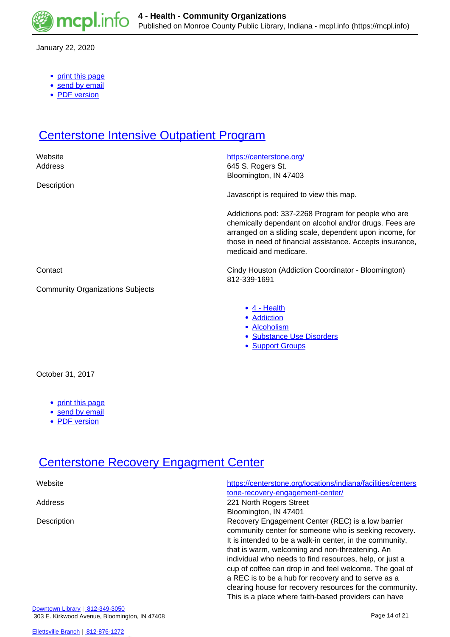

January 22, 2020

- [print this page](https://mcpl.info/print/commorg/centerstone)
- [send by email](https://mcpl.info/printmail/commorg/centerstone)
- [PDF version](https://mcpl.info/printpdf/commorg/centerstone)

#### **[Centerstone Intensive Outpatient Program](https://mcpl.info/commorg/centerstone-intensive-outpatient-program)**

| Website<br>Address                      | https://centerstone.org/<br>645 S. Rogers St.<br>Bloomington, IN 47403                                                                                                                                                                                          |
|-----------------------------------------|-----------------------------------------------------------------------------------------------------------------------------------------------------------------------------------------------------------------------------------------------------------------|
| Description                             | Javascript is required to view this map.                                                                                                                                                                                                                        |
|                                         | Addictions pod: 337-2268 Program for people who are<br>chemically dependant on alcohol and/or drugs. Fees are<br>arranged on a sliding scale, dependent upon income, for<br>those in need of financial assistance. Accepts insurance,<br>medicaid and medicare. |
| Contact                                 | Cindy Houston (Addiction Coordinator - Bloomington)<br>812-339-1691                                                                                                                                                                                             |
| <b>Community Organizations Subjects</b> |                                                                                                                                                                                                                                                                 |
|                                         | $\bullet$ 4 - Health<br>• Addiction<br>• Alcoholism<br>· Substance Use Disorders<br>• Support Groups                                                                                                                                                            |
| October 31, 2017                        |                                                                                                                                                                                                                                                                 |

- [print this page](https://mcpl.info/print/commorg/centerstone-intensive-outpatient-program)
- [send by email](https://mcpl.info/printmail/commorg/centerstone-intensive-outpatient-program)
- [PDF version](https://mcpl.info/printpdf/commorg/centerstone-intensive-outpatient-program)

## **[Centerstone Recovery Engagment Center](https://mcpl.info/commorg/centerstone-recovery-engagment-center)**

| Website     | https://centerstone.org/locations/indiana/facilities/centers |
|-------------|--------------------------------------------------------------|
| Address     | tone-recovery-engagement-center/<br>221 North Rogers Street  |
|             | Bloomington, IN 47401                                        |
| Description | Recovery Engagement Center (REC) is a low barrier            |
|             | community center for someone who is seeking recovery.        |
|             | It is intended to be a walk-in center, in the community,     |
|             | that is warm, welcoming and non-threatening. An              |
|             | individual who needs to find resources, help, or just a      |
|             | cup of coffee can drop in and feel welcome. The goal of      |
|             | a REC is to be a hub for recovery and to serve as a          |
|             | clearing house for recovery resources for the community.     |
|             | This is a place where faith-based providers can have         |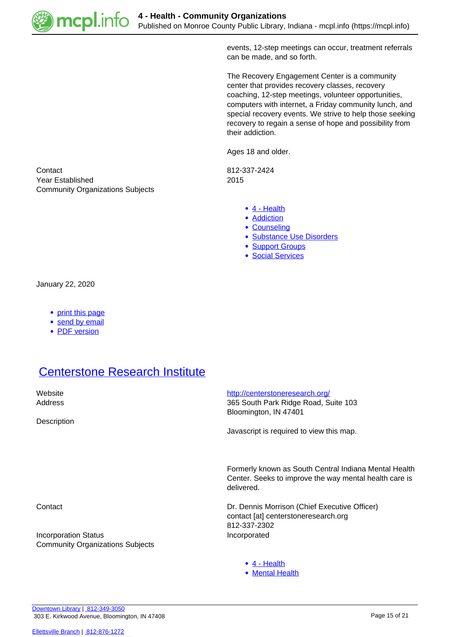

events, 12-step meetings can occur, treatment referrals can be made, and so forth.

The Recovery Engagement Center is a community center that provides recovery classes, recovery coaching, 12-step meetings, volunteer opportunities, computers with internet, a Friday community lunch, and special recovery events. We strive to help those seeking recovery to regain a sense of hope and possibility from their addiction.

Ages 18 and older.

- [4 Health](https://mcpl.info/taxonomy/term/24949)
- **[Addiction](https://mcpl.info/taxonomy/term/25066)**
- [Counseling](https://mcpl.info/community-organization-subjects/counseling)
- [Substance Use Disorders](https://mcpl.info/taxonomy/term/25092)
- [Support Groups](https://mcpl.info/community-organization-subjects/support-groups)
- [Social Services](https://mcpl.info/taxonomy/term/25126)

Contact 812-337-2424 Year Established 2015 Community Organizations Subjects

January 22, 2020

- [print this page](https://mcpl.info/print/commorg/centerstone-recovery-engagment-center)
- [send by email](https://mcpl.info/printmail/commorg/centerstone-recovery-engagment-center)
- [PDF version](https://mcpl.info/printpdf/commorg/centerstone-recovery-engagment-center)

## **[Centerstone Research Institute](https://mcpl.info/commorg/centerstone-research-institute)**

| Website<br>Address                                                     | http://centerstoneresearch.org/<br>365 South Park Ridge Road, Suite 103<br>Bloomington, IN 47401                              |
|------------------------------------------------------------------------|-------------------------------------------------------------------------------------------------------------------------------|
| Description                                                            | Javascript is required to view this map.                                                                                      |
|                                                                        | Formerly known as South Central Indiana Mental Health<br>Center. Seeks to improve the way mental health care is<br>delivered. |
| Contact                                                                | Dr. Dennis Morrison (Chief Executive Officer)<br>contact [at] centerstoneresearch.org<br>812-337-2302                         |
| <b>Incorporation Status</b><br><b>Community Organizations Subjects</b> | Incorporated                                                                                                                  |
|                                                                        | $\bullet$ 4 - Health<br>• Mental Health                                                                                       |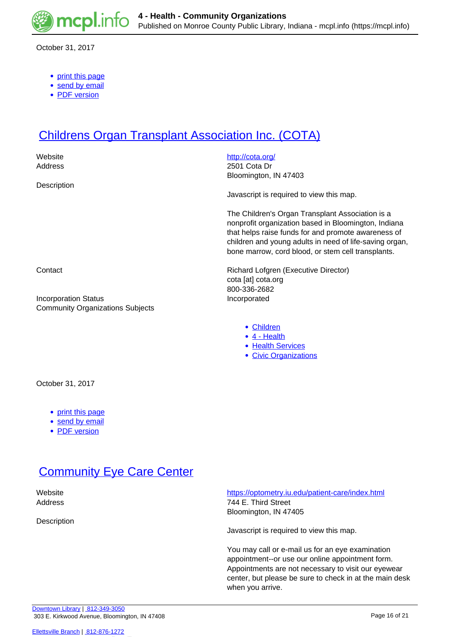

October 31, 2017

- [print this page](https://mcpl.info/print/commorg/centerstone-research-institute)
- [send by email](https://mcpl.info/printmail/commorg/centerstone-research-institute)
- [PDF version](https://mcpl.info/printpdf/commorg/centerstone-research-institute)

## **[Childrens Organ Transplant Association Inc. \(COTA\)](https://mcpl.info/commorg/childrens-organ-transplant-association-inc-cota)**

| Website<br>Address                                                     | http://cota.org/<br>2501 Cota Dr                                                                                                                                |
|------------------------------------------------------------------------|-----------------------------------------------------------------------------------------------------------------------------------------------------------------|
| Description                                                            | Bloomington, IN 47403                                                                                                                                           |
|                                                                        | Javascript is required to view this map.                                                                                                                        |
|                                                                        | The Children's Organ Transplant Association is a<br>nonprofit organization based in Bloomington, Indiana<br>that helps raise funds for and promote awareness of |
|                                                                        | children and young adults in need of life-saving organ,<br>bone marrow, cord blood, or stem cell transplants.                                                   |
| Contact                                                                | Richard Lofgren (Executive Director)                                                                                                                            |
|                                                                        | cota [at] cota.org<br>800-336-2682                                                                                                                              |
| <b>Incorporation Status</b><br><b>Community Organizations Subjects</b> | Incorporated                                                                                                                                                    |
|                                                                        | • Children<br>$\bullet$ 4 - Health<br>• Health Services                                                                                                         |
|                                                                        | • Civic Organizations                                                                                                                                           |
| October 31, 2017                                                       |                                                                                                                                                                 |

- [print this page](https://mcpl.info/print/commorg/childrens-organ-transplant-association-inc-cota)
- [send by email](https://mcpl.info/printmail/commorg/childrens-organ-transplant-association-inc-cota)
- [PDF version](https://mcpl.info/printpdf/commorg/childrens-organ-transplant-association-inc-cota)

#### **[Community Eye Care Center](https://mcpl.info/commorg/community-eye-care-center)**

Description

 Website <https://optometry.iu.edu/patient-care/index.html> Address 744 E. Third Street Bloomington, IN 47405

Javascript is required to view this map.

You may call or e-mail us for an eye examination appointment--or use our online appointment form. Appointments are not necessary to visit our eyewear center, but please be sure to check in at the main desk when you arrive.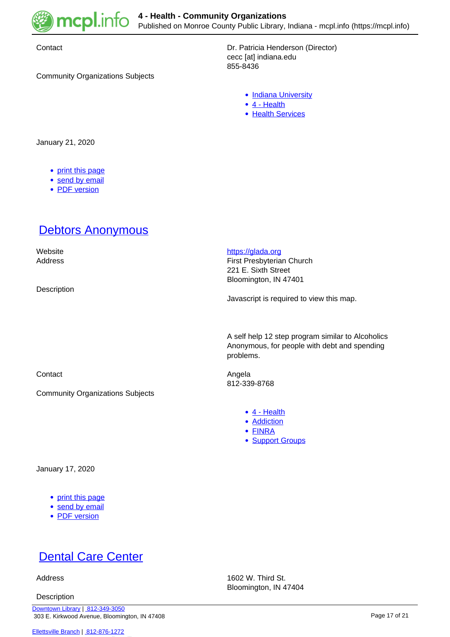

Community Organizations Subjects

Contact **Dr. Patricia Henderson (Director)** cecc [at] indiana.edu 855-8436

- [Indiana University](https://mcpl.info/community-organization-subjects/indiana-university)
- [4 Health](https://mcpl.info/taxonomy/term/24949)
- [Health Services](https://mcpl.info/community-organization-subjects/health-services)

January 21, 2020

- [print this page](https://mcpl.info/print/commorg/community-eye-care-center)
- [send by email](https://mcpl.info/printmail/commorg/community-eye-care-center)
- [PDF version](https://mcpl.info/printpdf/commorg/community-eye-care-center)

#### **[Debtors Anonymous](https://mcpl.info/commorg/debtors-anonymous)**

| Website<br>Address<br>Description             | https://glada.org<br>First Presbyterian Church<br>221 E. Sixth Street<br>Bloomington, IN 47401<br>Javascript is required to view this map. |
|-----------------------------------------------|--------------------------------------------------------------------------------------------------------------------------------------------|
|                                               | A self help 12 step program similar to Alcoholics<br>Anonymous, for people with debt and spending<br>problems.                             |
| Contact                                       | Angela<br>812-339-8768                                                                                                                     |
| <b>Community Organizations Subjects</b>       |                                                                                                                                            |
|                                               | $\bullet$ 4 - Health<br>• Addiction<br>• FINRA<br>• Support Groups                                                                         |
| January 17, 2020                              |                                                                                                                                            |
| • print this page<br><b>Computer Computer</b> |                                                                                                                                            |

- [send by email](https://mcpl.info/printmail/commorg/debtors-anonymous)
- [PDF version](https://mcpl.info/printpdf/commorg/debtors-anonymous)

# **[Dental Care Center](https://mcpl.info/commorg/dental-care-center)**

**Description** 

Address 1602 W. Third St. Bloomington, IN 47404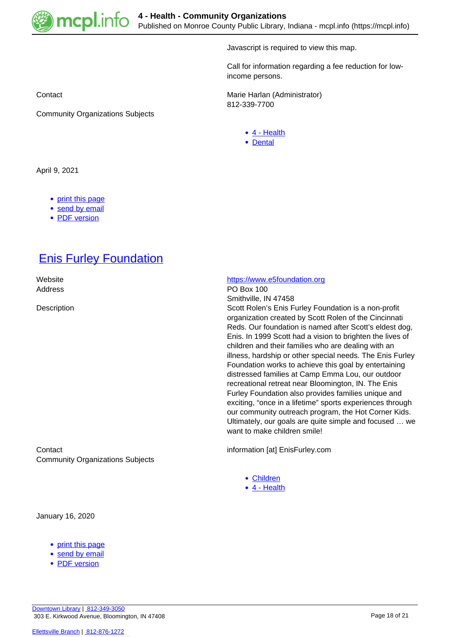

Javascript is required to view this map.

Call for information regarding a fee reduction for lowincome persons.

Contact **Marie Harlan (Administrator)** Marie Harlan (Administrator) 812-339-7700

- [4 Health](https://mcpl.info/taxonomy/term/24949)
- [Dental](https://mcpl.info/taxonomy/term/25074)

April 9, 2021

• [print this page](https://mcpl.info/print/commorg/dental-care-center)

Community Organizations Subjects

- [send by email](https://mcpl.info/printmail/commorg/dental-care-center)
- [PDF version](https://mcpl.info/printpdf/commorg/dental-care-center)

### **[Enis Furley Foundation](https://mcpl.info/commorg/enis-furley-foundation)**

Address PO Box 100

Contact information [at] EnisFurley.com Community Organizations Subjects

January 16, 2020

- [print this page](https://mcpl.info/print/commorg/enis-furley-foundation)
- [send by email](https://mcpl.info/printmail/commorg/enis-furley-foundation)
- [PDF version](https://mcpl.info/printpdf/commorg/enis-furley-foundation)

#### Website **<https://www.e5foundation.org>**

Smithville, IN 47458

Description Scott Rolen's Enis Furley Foundation is a non-profit organization created by Scott Rolen of the Cincinnati Reds. Our foundation is named after Scott's eldest dog, Enis. In 1999 Scott had a vision to brighten the lives of children and their families who are dealing with an illness, hardship or other special needs. The Enis Furley Foundation works to achieve this goal by entertaining distressed families at Camp Emma Lou, our outdoor recreational retreat near Bloomington, IN. The Enis Furley Foundation also provides families unique and exciting, "once in a lifetime" sports experiences through our community outreach program, the Hot Corner Kids. Ultimately, our goals are quite simple and focused … we want to make children smile!

- [Children](https://mcpl.info/taxonomy/term/24959)
- [4 Health](https://mcpl.info/taxonomy/term/24949)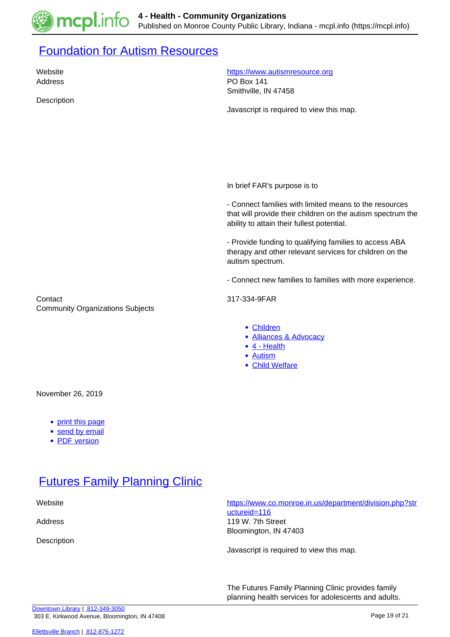

#### **[Foundation for Autism Resources](https://mcpl.info/commorg/foundation-autism-resources)**

Address **PO Box 141** 

Description

Website **<https://www.autismresource.org>** 

Smithville, IN 47458

Javascript is required to view this map.

In brief FAR's purpose is to

- Connect families with limited means to the resources that will provide their children on the autism spectrum the ability to attain their fullest potential.

- Provide funding to qualifying families to access ABA therapy and other relevant services for children on the autism spectrum.

- Connect new families to families with more experience.

Contact 317-334-9FAR Community Organizations Subjects

- [Children](https://mcpl.info/taxonomy/term/24959)
- [Alliances & Advocacy](https://mcpl.info/community-organization-subjects/alliances-advocacy)
- [4 Health](https://mcpl.info/taxonomy/term/24949)
- [Autism](https://mcpl.info/taxonomy/term/25069)
- [Child Welfare](https://mcpl.info/taxonomy/term/25097)

November 26, 2019

- [print this page](https://mcpl.info/print/commorg/foundation-autism-resources)
- [send by email](https://mcpl.info/printmail/commorg/foundation-autism-resources)
- [PDF version](https://mcpl.info/printpdf/commorg/foundation-autism-resources)

### **[Futures Family Planning Clinic](https://mcpl.info/commorg/futures-family-planning-clinic)**

Description

 Website [https://www.co.monroe.in.us/department/division.php?str](https://www.co.monroe.in.us/department/division.php?structureid=116) [uctureid=116](https://www.co.monroe.in.us/department/division.php?structureid=116) Address 119 W. 7th Street Bloomington, IN 47403

Javascript is required to view this map.

The Futures Family Planning Clinic provides family planning health services for adolescents and adults.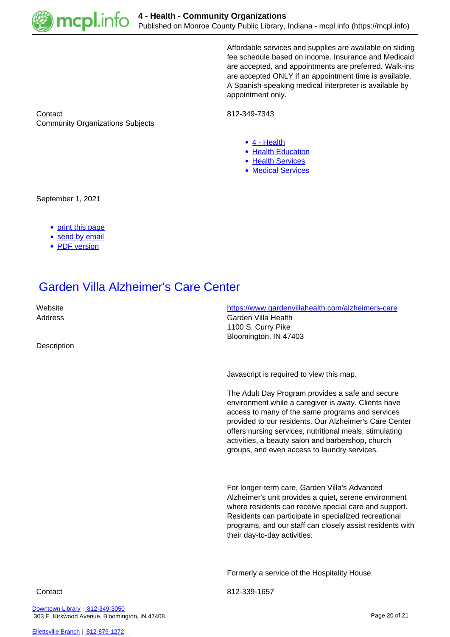

Affordable services and supplies are available on sliding fee schedule based on income. Insurance and Medicaid are accepted, and appointments are preferred. Walk-ins are accepted ONLY if an appointment time is available. A Spanish-speaking medical interpreter is available by appointment only.

Contact 812-349-7343 Community Organizations Subjects

- [4 Health](https://mcpl.info/taxonomy/term/24949)
- [Health Education](https://mcpl.info/taxonomy/term/25077)
- [Health Services](https://mcpl.info/community-organization-subjects/health-services)
- [Medical Services](https://mcpl.info/taxonomy/term/25081)

September 1, 2021

- [print this page](https://mcpl.info/print/commorg/futures-family-planning-clinic)
- [send by email](https://mcpl.info/printmail/commorg/futures-family-planning-clinic)
- [PDF version](https://mcpl.info/printpdf/commorg/futures-family-planning-clinic)

#### [Garden Villa Alzheimer's Care Center](https://mcpl.info/commorg/garden-villa-alzheimers-care-center)

**Description** 

 Website <https://www.gardenvillahealth.com/alzheimers-care> Address **Garden Villa Health** 1100 S. Curry Pike Bloomington, IN 47403

Javascript is required to view this map.

The Adult Day Program provides a safe and secure environment while a caregiver is away. Clients have access to many of the same programs and services provided to our residents. Our Alzheimer's Care Center offers nursing services, nutritional meals, stimulating activities, a beauty salon and barbershop, church groups, and even access to laundry services.

For longer-term care, Garden Villa's Advanced Alzheimer's unit provides a quiet, serene environment where residents can receive special care and support. Residents can participate in specialized recreational programs, and our staff can closely assist residents with their day-to-day activities.

Formerly a service of the Hospitality House.

Contact 812-339-1657

[Downtown Library](https://mcpl.info/geninfo/downtown-library) | [812-349-3050](tel:812-349-3050) 303 E. Kirkwood Avenue, Bloomington, IN 47408